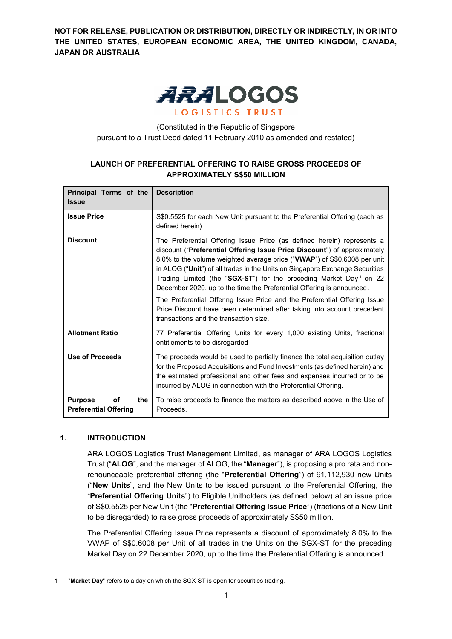**NOT FOR RELEASE, PUBLICATION OR DISTRIBUTION, DIRECTLY OR INDIRECTLY, IN OR INTO THE UNITED STATES, EUROPEAN ECONOMIC AREA, THE UNITED KINGDOM, CANADA, JAPAN OR AUSTRALIA**



(Constituted in the Republic of Singapore pursuant to a Trust Deed dated 11 February 2010 as amended and restated)

# **LAUNCH OF PREFERENTIAL OFFERING TO RAISE GROSS PROCEEDS OF APPROXIMATELY S\$50 MILLION**

| Principal Terms of the<br><b>Issue</b>                      | <b>Description</b>                                                                                                                                                                                                                                                                                                                                                                                                                                                                                                                                                                                                                                                          |
|-------------------------------------------------------------|-----------------------------------------------------------------------------------------------------------------------------------------------------------------------------------------------------------------------------------------------------------------------------------------------------------------------------------------------------------------------------------------------------------------------------------------------------------------------------------------------------------------------------------------------------------------------------------------------------------------------------------------------------------------------------|
| <b>Issue Price</b>                                          | S\$0.5525 for each New Unit pursuant to the Preferential Offering (each as<br>defined herein)                                                                                                                                                                                                                                                                                                                                                                                                                                                                                                                                                                               |
| <b>Discount</b>                                             | The Preferential Offering Issue Price (as defined herein) represents a<br>discount ("Preferential Offering Issue Price Discount") of approximately<br>8.0% to the volume weighted average price ("VWAP") of S\$0.6008 per unit<br>in ALOG ("Unit") of all trades in the Units on Singapore Exchange Securities<br>Trading Limited (the "SGX-ST") for the preceding Market Day <sup>1</sup> on 22<br>December 2020, up to the time the Preferential Offering is announced.<br>The Preferential Offering Issue Price and the Preferential Offering Issue<br>Price Discount have been determined after taking into account precedent<br>transactions and the transaction size. |
| <b>Allotment Ratio</b>                                      | 77 Preferential Offering Units for every 1,000 existing Units, fractional<br>entitlements to be disregarded                                                                                                                                                                                                                                                                                                                                                                                                                                                                                                                                                                 |
| Use of Proceeds                                             | The proceeds would be used to partially finance the total acquisition outlay<br>for the Proposed Acquisitions and Fund Investments (as defined herein) and<br>the estimated professional and other fees and expenses incurred or to be<br>incurred by ALOG in connection with the Preferential Offering.                                                                                                                                                                                                                                                                                                                                                                    |
| <b>Purpose</b><br>the<br>οf<br><b>Preferential Offering</b> | To raise proceeds to finance the matters as described above in the Use of<br>Proceeds.                                                                                                                                                                                                                                                                                                                                                                                                                                                                                                                                                                                      |

# **1. INTRODUCTION**

ARA LOGOS Logistics Trust Management Limited, as manager of ARA LOGOS Logistics Trust ("**ALOG**", and the manager of ALOG, the "**Manager**"), is proposing a pro rata and nonrenounceable preferential offering (the "**Preferential Offering**") of 91,112,930 new Units ("**New Units**", and the New Units to be issued pursuant to the Preferential Offering, the "**Preferential Offering Units**") to Eligible Unitholders (as defined below) at an issue price of S\$0.5525 per New Unit (the "**Preferential Offering Issue Price**") (fractions of a New Unit to be disregarded) to raise gross proceeds of approximately S\$50 million.

The Preferential Offering Issue Price represents a discount of approximately 8.0% to the VWAP of S\$0.6008 per Unit of all trades in the Units on the SGX-ST for the preceding Market Day on 22 December 2020, up to the time the Preferential Offering is announced.

<sup>1</sup> 1 "**Market Day**" refers to a day on which the SGX-ST is open for securities trading.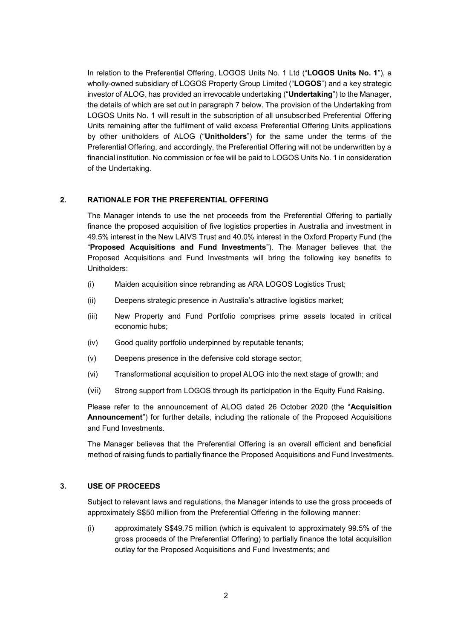In relation to the Preferential Offering, LOGOS Units No. 1 Ltd ("**LOGOS Units No. 1**"), a wholly-owned subsidiary of LOGOS Property Group Limited ("**LOGOS**") and a key strategic investor of ALOG, has provided an irrevocable undertaking ("**Undertaking**") to the Manager, the details of which are set out in paragraph 7 below. The provision of the Undertaking from LOGOS Units No. 1 will result in the subscription of all unsubscribed Preferential Offering Units remaining after the fulfilment of valid excess Preferential Offering Units applications by other unitholders of ALOG ("**Unitholders**") for the same under the terms of the Preferential Offering, and accordingly, the Preferential Offering will not be underwritten by a financial institution. No commission or fee will be paid to LOGOS Units No. 1 in consideration of the Undertaking.

### **2. RATIONALE FOR THE PREFERENTIAL OFFERING**

The Manager intends to use the net proceeds from the Preferential Offering to partially finance the proposed acquisition of five logistics properties in Australia and investment in 49.5% interest in the New LAIVS Trust and 40.0% interest in the Oxford Property Fund (the "**Proposed Acquisitions and Fund Investments**"). The Manager believes that the Proposed Acquisitions and Fund Investments will bring the following key benefits to Unitholders:

- (i) Maiden acquisition since rebranding as ARA LOGOS Logistics Trust;
- (ii) Deepens strategic presence in Australia's attractive logistics market;
- (iii) New Property and Fund Portfolio comprises prime assets located in critical economic hubs;
- (iv) Good quality portfolio underpinned by reputable tenants;
- (v) Deepens presence in the defensive cold storage sector;
- (vi) Transformational acquisition to propel ALOG into the next stage of growth; and
- (vii) Strong support from LOGOS through its participation in the Equity Fund Raising.

Please refer to the announcement of ALOG dated 26 October 2020 (the "**Acquisition Announcement**") for further details, including the rationale of the Proposed Acquisitions and Fund Investments.

The Manager believes that the Preferential Offering is an overall efficient and beneficial method of raising funds to partially finance the Proposed Acquisitions and Fund Investments.

#### **3. USE OF PROCEEDS**

Subject to relevant laws and regulations, the Manager intends to use the gross proceeds of approximately S\$50 million from the Preferential Offering in the following manner:

(i) approximately S\$49.75 million (which is equivalent to approximately 99.5% of the gross proceeds of the Preferential Offering) to partially finance the total acquisition outlay for the Proposed Acquisitions and Fund Investments; and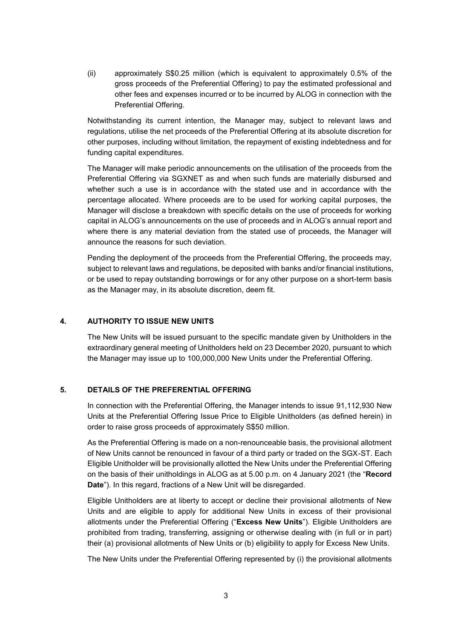(ii) approximately S\$0.25 million (which is equivalent to approximately 0.5% of the gross proceeds of the Preferential Offering) to pay the estimated professional and other fees and expenses incurred or to be incurred by ALOG in connection with the Preferential Offering.

Notwithstanding its current intention, the Manager may, subject to relevant laws and regulations, utilise the net proceeds of the Preferential Offering at its absolute discretion for other purposes, including without limitation, the repayment of existing indebtedness and for funding capital expenditures.

The Manager will make periodic announcements on the utilisation of the proceeds from the Preferential Offering via SGXNET as and when such funds are materially disbursed and whether such a use is in accordance with the stated use and in accordance with the percentage allocated. Where proceeds are to be used for working capital purposes, the Manager will disclose a breakdown with specific details on the use of proceeds for working capital in ALOG's announcements on the use of proceeds and in ALOG's annual report and where there is any material deviation from the stated use of proceeds, the Manager will announce the reasons for such deviation.

Pending the deployment of the proceeds from the Preferential Offering, the proceeds may, subject to relevant laws and regulations, be deposited with banks and/or financial institutions, or be used to repay outstanding borrowings or for any other purpose on a short-term basis as the Manager may, in its absolute discretion, deem fit.

### **4. AUTHORITY TO ISSUE NEW UNITS**

The New Units will be issued pursuant to the specific mandate given by Unitholders in the extraordinary general meeting of Unitholders held on 23 December 2020, pursuant to which the Manager may issue up to 100,000,000 New Units under the Preferential Offering.

### **5. DETAILS OF THE PREFERENTIAL OFFERING**

In connection with the Preferential Offering, the Manager intends to issue 91,112,930 New Units at the Preferential Offering Issue Price to Eligible Unitholders (as defined herein) in order to raise gross proceeds of approximately S\$50 million.

As the Preferential Offering is made on a non-renounceable basis, the provisional allotment of New Units cannot be renounced in favour of a third party or traded on the SGX-ST. Each Eligible Unitholder will be provisionally allotted the New Units under the Preferential Offering on the basis of their unitholdings in ALOG as at 5.00 p.m. on 4 January 2021 (the "**Record Date**"). In this regard, fractions of a New Unit will be disregarded.

Eligible Unitholders are at liberty to accept or decline their provisional allotments of New Units and are eligible to apply for additional New Units in excess of their provisional allotments under the Preferential Offering ("**Excess New Units**"). Eligible Unitholders are prohibited from trading, transferring, assigning or otherwise dealing with (in full or in part) their (a) provisional allotments of New Units or (b) eligibility to apply for Excess New Units.

The New Units under the Preferential Offering represented by (i) the provisional allotments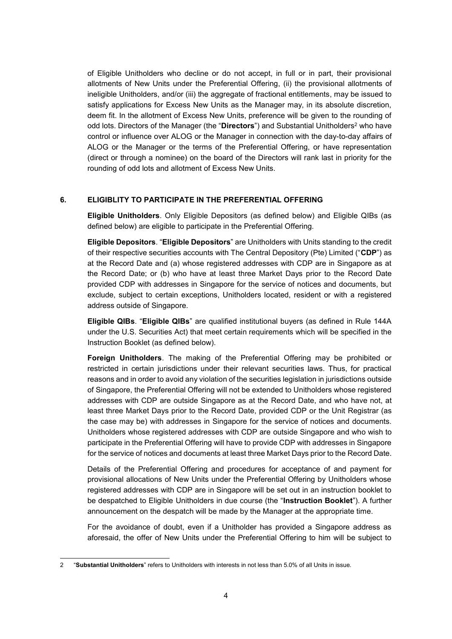of Eligible Unitholders who decline or do not accept, in full or in part, their provisional allotments of New Units under the Preferential Offering, (ii) the provisional allotments of ineligible Unitholders, and/or (iii) the aggregate of fractional entitlements, may be issued to satisfy applications for Excess New Units as the Manager may, in its absolute discretion, deem fit. In the allotment of Excess New Units, preference will be given to the rounding of odd lots. Directors of the Manager (the "Directors") and Substantial Unitholders<sup>2</sup> who have control or influence over ALOG or the Manager in connection with the day-to-day affairs of ALOG or the Manager or the terms of the Preferential Offering, or have representation (direct or through a nominee) on the board of the Directors will rank last in priority for the rounding of odd lots and allotment of Excess New Units.

### **6. ELIGIBLITY TO PARTICIPATE IN THE PREFERENTIAL OFFERING**

**Eligible Unitholders**. Only Eligible Depositors (as defined below) and Eligible QIBs (as defined below) are eligible to participate in the Preferential Offering.

**Eligible Depositors**. "**Eligible Depositors**" are Unitholders with Units standing to the credit of their respective securities accounts with The Central Depository (Pte) Limited ("**CDP**") as at the Record Date and (a) whose registered addresses with CDP are in Singapore as at the Record Date; or (b) who have at least three Market Days prior to the Record Date provided CDP with addresses in Singapore for the service of notices and documents, but exclude, subject to certain exceptions, Unitholders located, resident or with a registered address outside of Singapore.

**Eligible QIBs**. "**Eligible QIBs**" are qualified institutional buyers (as defined in Rule 144A under the U.S. Securities Act) that meet certain requirements which will be specified in the Instruction Booklet (as defined below).

**Foreign Unitholders**. The making of the Preferential Offering may be prohibited or restricted in certain jurisdictions under their relevant securities laws. Thus, for practical reasons and in order to avoid any violation of the securities legislation in jurisdictions outside of Singapore, the Preferential Offering will not be extended to Unitholders whose registered addresses with CDP are outside Singapore as at the Record Date, and who have not, at least three Market Days prior to the Record Date, provided CDP or the Unit Registrar (as the case may be) with addresses in Singapore for the service of notices and documents. Unitholders whose registered addresses with CDP are outside Singapore and who wish to participate in the Preferential Offering will have to provide CDP with addresses in Singapore for the service of notices and documents at least three Market Days prior to the Record Date.

Details of the Preferential Offering and procedures for acceptance of and payment for provisional allocations of New Units under the Preferential Offering by Unitholders whose registered addresses with CDP are in Singapore will be set out in an instruction booklet to be despatched to Eligible Unitholders in due course (the "**Instruction Booklet**"). A further announcement on the despatch will be made by the Manager at the appropriate time.

For the avoidance of doubt, even if a Unitholder has provided a Singapore address as aforesaid, the offer of New Units under the Preferential Offering to him will be subject to

l 2 "**Substantial Unitholders**" refers to Unitholders with interests in not less than 5.0% of all Units in issue.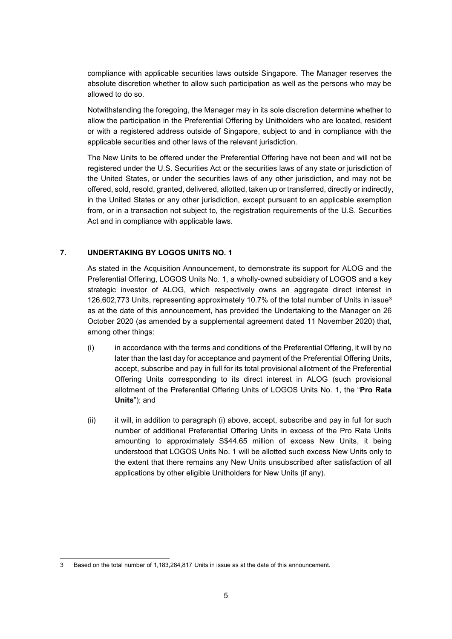compliance with applicable securities laws outside Singapore. The Manager reserves the absolute discretion whether to allow such participation as well as the persons who may be allowed to do so.

Notwithstanding the foregoing, the Manager may in its sole discretion determine whether to allow the participation in the Preferential Offering by Unitholders who are located, resident or with a registered address outside of Singapore, subject to and in compliance with the applicable securities and other laws of the relevant jurisdiction.

The New Units to be offered under the Preferential Offering have not been and will not be registered under the U.S. Securities Act or the securities laws of any state or jurisdiction of the United States, or under the securities laws of any other jurisdiction, and may not be offered, sold, resold, granted, delivered, allotted, taken up or transferred, directly or indirectly, in the United States or any other jurisdiction, except pursuant to an applicable exemption from, or in a transaction not subject to, the registration requirements of the U.S. Securities Act and in compliance with applicable laws.

## **7. UNDERTAKING BY LOGOS UNITS NO. 1**

As stated in the Acquisition Announcement, to demonstrate its support for ALOG and the Preferential Offering, LOGOS Units No. 1, a wholly-owned subsidiary of LOGOS and a key strategic investor of ALOG, which respectively owns an aggregate direct interest in 126,602,773 Units, representing approximately 10.7% of the total number of Units in issue<sup>3</sup> as at the date of this announcement, has provided the Undertaking to the Manager on 26 October 2020 (as amended by a supplemental agreement dated 11 November 2020) that, among other things:

- (i) in accordance with the terms and conditions of the Preferential Offering, it will by no later than the last day for acceptance and payment of the Preferential Offering Units, accept, subscribe and pay in full for its total provisional allotment of the Preferential Offering Units corresponding to its direct interest in ALOG (such provisional allotment of the Preferential Offering Units of LOGOS Units No. 1, the "**Pro Rata Units**"); and
- (ii) it will, in addition to paragraph (i) above, accept, subscribe and pay in full for such number of additional Preferential Offering Units in excess of the Pro Rata Units amounting to approximately S\$44.65 million of excess New Units, it being understood that LOGOS Units No. 1 will be allotted such excess New Units only to the extent that there remains any New Units unsubscribed after satisfaction of all applications by other eligible Unitholders for New Units (if any).

l 3 Based on the total number of 1,183,284,817 Units in issue as at the date of this announcement.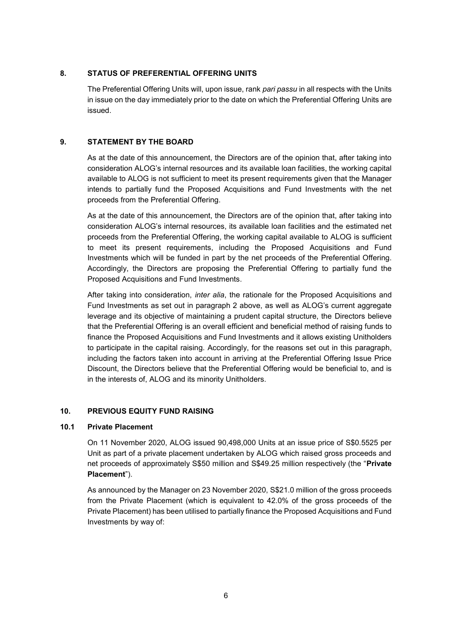## **8. STATUS OF PREFERENTIAL OFFERING UNITS**

The Preferential Offering Units will, upon issue, rank *pari passu* in all respects with the Units in issue on the day immediately prior to the date on which the Preferential Offering Units are issued.

## **9. STATEMENT BY THE BOARD**

As at the date of this announcement, the Directors are of the opinion that, after taking into consideration ALOG's internal resources and its available loan facilities, the working capital available to ALOG is not sufficient to meet its present requirements given that the Manager intends to partially fund the Proposed Acquisitions and Fund Investments with the net proceeds from the Preferential Offering.

As at the date of this announcement, the Directors are of the opinion that, after taking into consideration ALOG's internal resources, its available loan facilities and the estimated net proceeds from the Preferential Offering, the working capital available to ALOG is sufficient to meet its present requirements, including the Proposed Acquisitions and Fund Investments which will be funded in part by the net proceeds of the Preferential Offering. Accordingly, the Directors are proposing the Preferential Offering to partially fund the Proposed Acquisitions and Fund Investments.

After taking into consideration, *inter alia*, the rationale for the Proposed Acquisitions and Fund Investments as set out in paragraph 2 above, as well as ALOG's current aggregate leverage and its objective of maintaining a prudent capital structure, the Directors believe that the Preferential Offering is an overall efficient and beneficial method of raising funds to finance the Proposed Acquisitions and Fund Investments and it allows existing Unitholders to participate in the capital raising. Accordingly, for the reasons set out in this paragraph, including the factors taken into account in arriving at the Preferential Offering Issue Price Discount, the Directors believe that the Preferential Offering would be beneficial to, and is in the interests of, ALOG and its minority Unitholders.

### **10. PREVIOUS EQUITY FUND RAISING**

### **10.1 Private Placement**

On 11 November 2020, ALOG issued 90,498,000 Units at an issue price of S\$0.5525 per Unit as part of a private placement undertaken by ALOG which raised gross proceeds and net proceeds of approximately S\$50 million and S\$49.25 million respectively (the "**Private Placement**").

As announced by the Manager on 23 November 2020, S\$21.0 million of the gross proceeds from the Private Placement (which is equivalent to 42.0% of the gross proceeds of the Private Placement) has been utilised to partially finance the Proposed Acquisitions and Fund Investments by way of: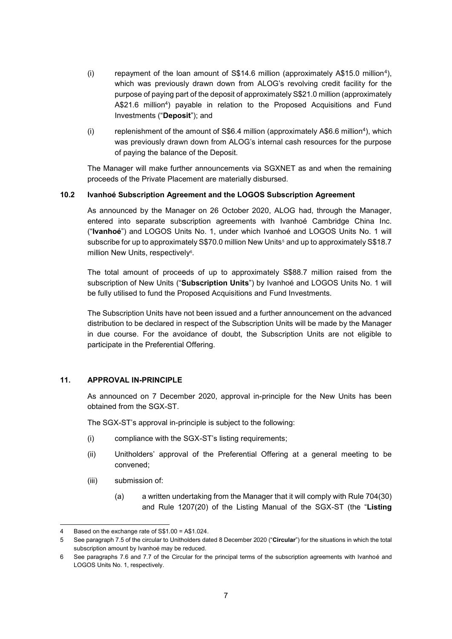- (i) repayment of the loan amount of S\$14.6 million (approximately A\$15.0 million<sup>4</sup> ), which was previously drawn down from ALOG's revolving credit facility for the purpose of paying part of the deposit of approximately S\$21.0 million (approximately A\$21.6 million<sup>4</sup> ) payable in relation to the Proposed Acquisitions and Fund Investments ("**Deposit**"); and
- (i) replenishment of the amount of S\$6.4 million (approximately A\$6.6 million<sup>4</sup>), which was previously drawn down from ALOG's internal cash resources for the purpose of paying the balance of the Deposit.

The Manager will make further announcements via SGXNET as and when the remaining proceeds of the Private Placement are materially disbursed.

### **10.2 Ivanhoé Subscription Agreement and the LOGOS Subscription Agreement**

As announced by the Manager on 26 October 2020, ALOG had, through the Manager, entered into separate subscription agreements with Ivanhoé Cambridge China Inc. ("**Ivanhoé**") and LOGOS Units No. 1, under which Ivanhoé and LOGOS Units No. 1 will subscribe for up to approximately S\$70.0 million New Units<sup>5</sup> and up to approximately S\$18.7 million New Units, respectively<sup>6</sup>.

The total amount of proceeds of up to approximately S\$88.7 million raised from the subscription of New Units ("**Subscription Units**") by Ivanhoé and LOGOS Units No. 1 will be fully utilised to fund the Proposed Acquisitions and Fund Investments.

The Subscription Units have not been issued and a further announcement on the advanced distribution to be declared in respect of the Subscription Units will be made by the Manager in due course. For the avoidance of doubt, the Subscription Units are not eligible to participate in the Preferential Offering.

# **11. APPROVAL IN-PRINCIPLE**

As announced on 7 December 2020, approval in-principle for the New Units has been obtained from the SGX-ST.

The SGX-ST's approval in-principle is subject to the following:

- (i) compliance with the SGX-ST's listing requirements;
- (ii) Unitholders' approval of the Preferential Offering at a general meeting to be convened;
- (iii) submission of:
	- (a) a written undertaking from the Manager that it will comply with Rule 704(30) and Rule 1207(20) of the Listing Manual of the SGX-ST (the "**Listing**

l Based on the exchange rate of S\$1.00 = A\$1.024.

<sup>5</sup> See paragraph 7.5 of the circular to Unitholders dated 8 December 2020 ("**Circular**") for the situations in which the total subscription amount by Ivanhoé may be reduced.

<sup>6</sup> See paragraphs 7.6 and 7.7 of the Circular for the principal terms of the subscription agreements with Ivanhoé and LOGOS Units No. 1, respectively.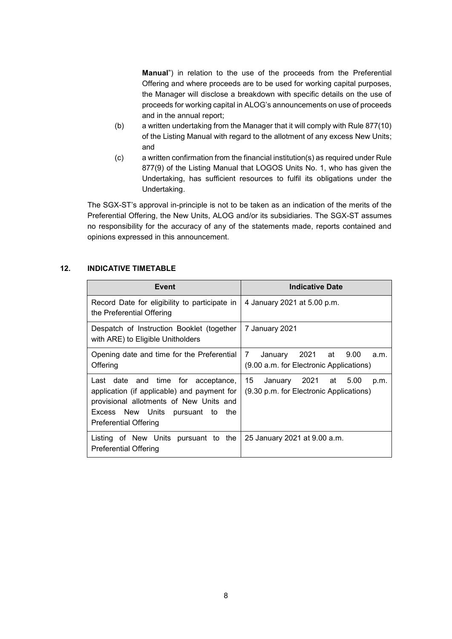**Manual**") in relation to the use of the proceeds from the Preferential Offering and where proceeds are to be used for working capital purposes, the Manager will disclose a breakdown with specific details on the use of proceeds for working capital in ALOG's announcements on use of proceeds and in the annual report;

- (b) a written undertaking from the Manager that it will comply with Rule 877(10) of the Listing Manual with regard to the allotment of any excess New Units; and
- (c) a written confirmation from the financial institution(s) as required under Rule 877(9) of the Listing Manual that LOGOS Units No. 1, who has given the Undertaking, has sufficient resources to fulfil its obligations under the Undertaking.

The SGX-ST's approval in-principle is not to be taken as an indication of the merits of the Preferential Offering, the New Units, ALOG and/or its subsidiaries. The SGX-ST assumes no responsibility for the accuracy of any of the statements made, reports contained and opinions expressed in this announcement.

## **12. INDICATIVE TIMETABLE**

| <b>Event</b>                                                                                                                                                                                     | <b>Indicative Date</b>                                                           |
|--------------------------------------------------------------------------------------------------------------------------------------------------------------------------------------------------|----------------------------------------------------------------------------------|
| Record Date for eligibility to participate in<br>the Preferential Offering                                                                                                                       | 4 January 2021 at 5.00 p.m.                                                      |
| Despatch of Instruction Booklet (together<br>with ARE) to Eligible Unitholders                                                                                                                   | 7 January 2021                                                                   |
| Opening date and time for the Preferential<br>Offering                                                                                                                                           | January 2021 at 9.00<br>7<br>a.m.<br>(9.00 a.m. for Electronic Applications)     |
| Last date and time for acceptance,<br>application (if applicable) and payment for<br>provisional allotments of New Units and<br>Excess New Units pursuant to the<br><b>Preferential Offering</b> | 15<br>January 2021 at<br>5.00<br>p.m.<br>(9.30 p.m. for Electronic Applications) |
| Listing of New Units pursuant to the<br>Preferential Offering                                                                                                                                    | 25 January 2021 at 9.00 a.m.                                                     |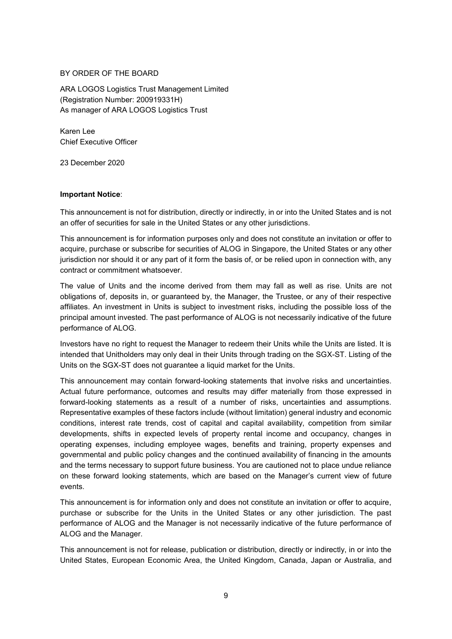### BY ORDER OF THE BOARD

ARA LOGOS Logistics Trust Management Limited (Registration Number: 200919331H) As manager of ARA LOGOS Logistics Trust

Karen Lee Chief Executive Officer

23 December 2020

## **Important Notice**:

This announcement is not for distribution, directly or indirectly, in or into the United States and is not an offer of securities for sale in the United States or any other jurisdictions.

This announcement is for information purposes only and does not constitute an invitation or offer to acquire, purchase or subscribe for securities of ALOG in Singapore, the United States or any other jurisdiction nor should it or any part of it form the basis of, or be relied upon in connection with, any contract or commitment whatsoever.

The value of Units and the income derived from them may fall as well as rise. Units are not obligations of, deposits in, or guaranteed by, the Manager, the Trustee, or any of their respective affiliates. An investment in Units is subject to investment risks, including the possible loss of the principal amount invested. The past performance of ALOG is not necessarily indicative of the future performance of ALOG.

Investors have no right to request the Manager to redeem their Units while the Units are listed. It is intended that Unitholders may only deal in their Units through trading on the SGX-ST. Listing of the Units on the SGX-ST does not guarantee a liquid market for the Units.

This announcement may contain forward-looking statements that involve risks and uncertainties. Actual future performance, outcomes and results may differ materially from those expressed in forward-looking statements as a result of a number of risks, uncertainties and assumptions. Representative examples of these factors include (without limitation) general industry and economic conditions, interest rate trends, cost of capital and capital availability, competition from similar developments, shifts in expected levels of property rental income and occupancy, changes in operating expenses, including employee wages, benefits and training, property expenses and governmental and public policy changes and the continued availability of financing in the amounts and the terms necessary to support future business. You are cautioned not to place undue reliance on these forward looking statements, which are based on the Manager's current view of future events.

This announcement is for information only and does not constitute an invitation or offer to acquire, purchase or subscribe for the Units in the United States or any other jurisdiction. The past performance of ALOG and the Manager is not necessarily indicative of the future performance of ALOG and the Manager.

This announcement is not for release, publication or distribution, directly or indirectly, in or into the United States, European Economic Area, the United Kingdom, Canada, Japan or Australia, and